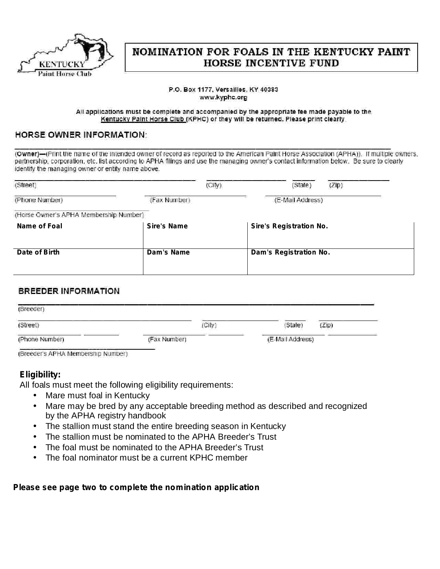

# NOMINATION FOR FOALS IN THE KENTUCKY PAINT **HORSE INCENTIVE FUND**

#### P.O. Box 1177, Versailles, KY 40383 www.kyphc.org

#### All applications must be complete and accompanied by the appropriate fee made payable to the Kentucky Paint Horse Club (KPHC) or they will be returned. Please print clearly.

### **HORSE OWNER INFORMATION:**

(Owner)-(Print the name of the intended owner of record as reported to the American Paint Horse Association (APHA)). If multiple owners, partnership, corporation, etc. list according to APHA filings and use the managing owner's contact information below. Be sure to clearly identify the managing owner or entity name above.

| (Street)                               | (City)             | (ZIP)<br>(State)               |
|----------------------------------------|--------------------|--------------------------------|
| (Phone Number)                         | (Fax Number)       | (E-Mail Address)               |
| (Horse Owner's APHA Membership Number) |                    |                                |
| Name of Foal                           | <b>Sire's Name</b> | <b>Sire's Registration No.</b> |
| Date of Birth                          | Dam's Name         | Dam's Registration No.         |
|                                        |                    |                                |

### **BREEDER INFORMATION**

| (Breeder)      |              |                  |      |
|----------------|--------------|------------------|------|
| (Street)       | City         | (State)          | Zip) |
| (Phone Number) | (Fax Number) | (E-Mail Address) |      |

(Breeder's APHA Membership Number)

## **Eligibility:**

All foals must meet the following eligibility requirements:

- Mare must foal in Kentucky •
- Mare may be bred by any acceptable breeding method as described and recognized by the APHA registry handbook  $\bullet$
- The stallion must stand the entire breeding season in Kentucky •
- The stallion must be nominated to the APHA Breeder's Trust •
- The foal must be nominated to the APHA Breeder's Trust •
- The foal nominator must be a current KPHC member •

#### *Please see page two to complete the nomination application*